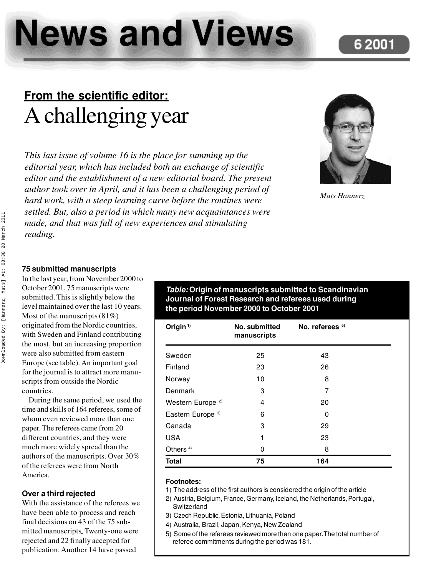# **News and Views**

### **6 2001**

## **From the scientific editor:** Achallenging year

*This last issue of volume 16 is the place for summing up the editorial year, which has included both an exchange of scientific editor and the establishment of a new editorial board. The present author took over in April, and it has been a challenging period of hard work, with a steep learning curve before the routines were settled. But, also a period in which many new acquaintances were made, and that was full of new experiences and stimulating reading.*



*Mats Hannerz*

#### **75 submitted manuscripts**

In the last year, from November 2000 to October 2001, 75 manuscripts were submitted. This is slightly below the level maintained over the last 10 years. Most of the manuscripts (81%) originated from the Nordic countries, with Sweden and Finland contributing the most, but an increasing proportion were also submitted from eastern Europe (see table). An important goal for the journal is to attract more manuscripts from outside the Nordic countries.

During the same period, we used the time and skills of 164 referees, some of whom even reviewed more than one paper. The referees came from 20 different countries, and they were much more widely spread than the authors of the manuscripts. Over 30% of the referees were from North America.

#### **Over a third rejected**

With the assistance of the referees we have been able to process and reach final decisions on 43 of the 75 submitted manuscripts**.** Twenty-one were rejected and 22 finally accepted for publication. Another 14 have passed

#### *Table:* **Origin of manuscripts submitted to Scandinavian Journal of Forest Research and referees used during the period November 2000 to October 2001**

| Origin $1$                   | No. submitted<br>manuscripts | No. referees $5$ |  |
|------------------------------|------------------------------|------------------|--|
| Sweden                       | 25                           | 43               |  |
| Finland                      | 23                           | 26               |  |
| Norway                       | 10                           | 8                |  |
| Denmark                      | 3                            | 7                |  |
| Western Europe <sup>2)</sup> | 4                            | 20               |  |
| Eastern Europe <sup>3)</sup> | 6                            | 0                |  |
| Canada                       | 3                            | 29               |  |
| <b>USA</b>                   | 1                            | 23               |  |
| Others <sup>4)</sup>         | 0                            | 8                |  |
| <b>Total</b>                 | 75                           | 164              |  |

#### **Footnotes:**

- 1) The address of the first authors is considered the origin of the article
- 2) Austria, Belgium, France, Germany, Iceland, the Netherlands, Portugal, Switzerland
- 3) Czech Republic, Estonia, Lithuania, Poland
- 4) Australia, Brazil, Japan, Kenya, New Zealand
- 5) Some of the referees reviewed more than one paper.The total number of referee commitments during the period was 181.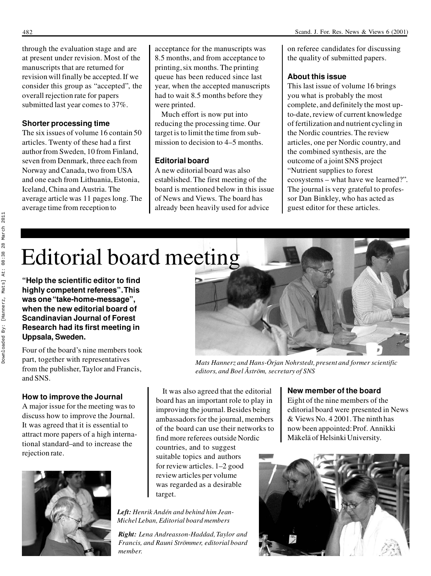through the evaluation stage and are at present under revision. Most of the manuscripts that are returned for revision will finally be accepted. If we consider this group as "accepted", the overall rejection rate for papers submitted last year comes to 37%.

#### **Shorter processing time**

The six issues of volume 16 contain 50 articles. Twenty of these had a first author from Sweden, 10 from Finland, seven from Denmark, three each from Norway and Canada, two from USA and one each from Lithuania, Estonia, Iceland, China and Austria. The average article was 11 pages long. The average time from reception to

acceptance for the manuscripts was 8.5 months, and from acceptance to printing, six months. The printing queue has been reduced since last year, when the accepted manuscripts had to wait 8.5 months before they were printed.

Much effort is now put into reducing the processing time. Our target is to limit the time from submission to decision to 4–5 months.

#### **Editorial board**

A new editorial board was also established. The first meeting of the board is mentioned below in this issue of News and Views. The board has already been heavily used for advice

on referee candidates for discussing the quality of submitted papers.

#### **About this issue**

This last issue of volume 16 brings you what is probably the most complete, and definitely the most upto-date, review of current knowledge of fertilization and nutrient cycling in the Nordic countries. The review articles, one per Nordic country, and the combined synthesis, are the outcome of a joint SNS project "Nutrient supplies to forest ecosystems – what have we learned?". The journal is very grateful to professor Dan Binkley, who has acted as guest editor for these articles.

## Editorial board meeting

**"Help the scientific editor to find highly competent referees". This was one "take-home-message", when the new editorial board of Scandinavian Journal of Forest Research had its first meeting in Uppsala, Sweden.**

Four of the board's nine members took part, together with representatives from the publisher, Taylor and Francis, and SNS.

#### **How to improve the Journal**

A major issue for the meeting was to discuss how to improve the Journal. It was agreed that it is essential to attract more papers of a high international standard–and to increase the rejection rate.





*Mats Hannerz and Hans-Örjan Nohrstedt, present and former scientific editors, and Boel Åström, secretary of SNS*

It was also agreed that the editorial board has an important role to play in improving the journal. Besides being ambassadors for the journal, members of the board can use their networks to find more referees outside Nordic countries, and to suggest suitable topics and authors for review articles. 1–2 good review articles per volume was regarded as a desirable target.

*Left: Henrik Andén and behind him Jean-Michel Leban, Editorial board members*

*Right: Lena Andreasson-Haddad, Taylor and Francis, and Rauni Strömmer, editorial board member.*

#### **New member of the board**

Eight of the nine members of the editorial board were presented in News & Views No. 4 2001. The ninth has now been appointed: Prof. Annikki Mäkelä of Helsinki University.

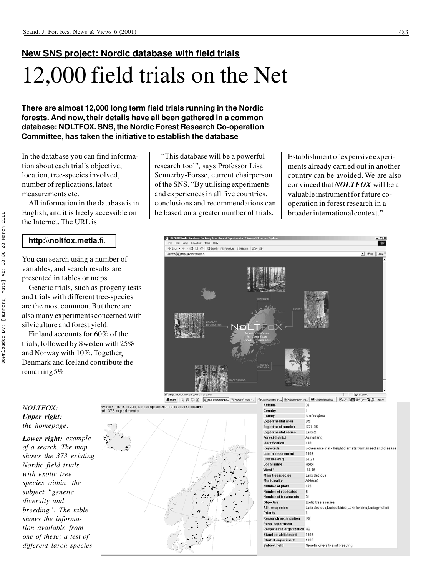## **New SNS project: Nordic database with field trials** 12,000 field trials on the Net

**There are almost 12,000 long term field trials running in the Nordic forests. And now, their details have all been gathered in a common database: NOLTFOX. SNS, the Nordic Forest Research Co-operation Committee, has taken the initiative to establish the database**

In the database you can find information about each trial's objective, location, tree-species involved, number of replications, latest measurements etc.

All information in the database is in English, and it is freely accessible on the Internet. The URL is

#### **http:\\noltfox.metla.fi**.

You can search using a number of variables, and search results are presented in tables or maps.

Genetic trials, such as progeny tests and trials with different tree-species are the most common. But there are also many experiments concerned with silviculture and forest yield.

Finland accounts for 60% of the trials, followed by Sweden with 25% and Norway with 10%. Together**,** Denmark and Iceland contribute the remaining 5%.

"This database will be a powerful research tool", says Professor Lisa Sennerby-Forsse, current chairperson of the SNS. "By utilising experiments and experiences in all five countries, conclusions and recommendations can be based on a greater number of trials.

+ - @ [3] @ Search (E) Favorbes (3) to

NOLTFOX Nordic Database for Long-Term Forest Et Fritt View Favorites: Tools

Establishment of expensive experiments already carried out in another country can be avoided. We are also convinced that *NOLTFOX* will be a valuable instrument for future cooperation in forest research in a broader international context."

 $482$ 

 $\overline{\bullet}$   $\phi$  60 | Links

**O** kome



食Rat | | 3) 2 CJ 33 | | 2) WLTFOX Nardic. WMcosoft Word - ... | 3) C(Bocuments an... | % Adobe Pagetfale... | ■ Adobe Photoshop | 5 C 3 @ 图 2 O- V G 2:139 Altitude

 $\overline{25}$ 

| Country                            |                                                               |  |  |
|------------------------------------|---------------------------------------------------------------|--|--|
| County                             | S-Múlasýsla                                                   |  |  |
| <b>Experimental area</b>           | 0.5                                                           |  |  |
| <b>Experiment number</b>           | $K$ 27-96                                                     |  |  |
| <b>Experimental series</b>         | Larix-2                                                       |  |  |
| <b>Forest district</b>             | Austurland                                                    |  |  |
| Identification                     | 108                                                           |  |  |
| Keywords                           | provenance trial - height diameter form insect and disease    |  |  |
| <b>Last measurement</b>            | 1996                                                          |  |  |
| Latitude (N °)                     | 65.23                                                         |  |  |
| <b>Local name</b>                  | Hofai                                                         |  |  |
| West <sup>o</sup>                  | $-14.48$                                                      |  |  |
| <b>Main treespecies</b>            | Larix decidua                                                 |  |  |
| Municipality                       | A-Hérað                                                       |  |  |
| Number of plots                    | 155                                                           |  |  |
| <b>Number of replicates</b>        | 5                                                             |  |  |
| <b>Number of treatments</b>        | 31                                                            |  |  |
| Objective                          | Exotic tree species                                           |  |  |
| <b>All treespecies</b>             | Larix decidua, Larix sibirica, Larix laricina, Larix gmelinii |  |  |
| Priority                           | 1                                                             |  |  |
| <b>Research organization</b>       | <b>IFS</b>                                                    |  |  |
| <b>Resp. department</b>            |                                                               |  |  |
| <b>Responsible organization RS</b> |                                                               |  |  |
| <b>Stand establishment</b>         | 1996                                                          |  |  |
| <b>Start of experiment</b>         | 1996                                                          |  |  |
| <b>Subject field</b>               | Genetic diversity and breeding                                |  |  |

#### *NOLTFOX; Upper right: the homepage.*

*Lower right: example of a search. The map shows the 373 existing Nordic field trials with exotic tree species within the subject "genetic diversity and breeding". The table shows the information available from one of these; a test of different larch species*

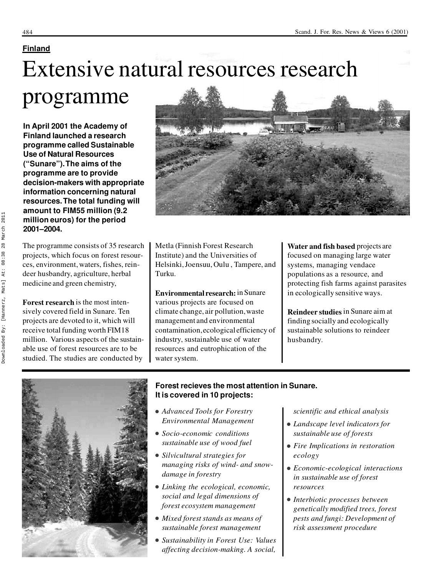#### **Finland**

## Extensive natural resources research

## programme

**In April 2001 the Academy of Finland launched a research programme called Sustainable Use of Natural Resources ("Sunare"). The aims of the programme are to provide decision-makers with appropriate information concerning natural resources. The total funding will amount to FIM55 million (9.2 million euros) for the period 2001–2004.**

The programme consists of 35 research projects, which focus on forest resources, environment, waters, fishes, reindeer husbandry, agriculture, herbal medicine and green chemistry,

**Forest research** is the most intensively covered field in Sunare. Ten projects are devoted to it, which will receive total funding worth FIM18 million. Various aspects of the sustainable use of forest resources are to be studied. The studies are conducted by



Metla (Finnish Forest Research Institute) and the Universities of Helsinki, Joensuu, Oulu , Tampere, and Turku.

**Environmental research:**in Sunare various projects are focused on climate change, air pollution, waste management and environmental contamination, ecological efficiency of industry, sustainable use of water resources and eutrophication of the water system.

**Water and fish based** projects are focused on managing large water systems, managing vendace populations as a resource, and protecting fish farms against parasites in ecologically sensitive ways.

**Reindeer studies** in Sunare aim at finding socially and ecologically sustainable solutions to reindeer husbandry.



#### **Forest recieves the most attention in Sunare. It is covered in 10 projects:**

- <sup>l</sup> *Advanced Tools for Forestry Environmental Management*
- <sup>l</sup> *Socio-economic conditions sustainable use of wood fuel*
- **•** *Silvicultural strategies for managing risks of wind- and snowdamage in forestry*
- Linking the ecological, economic, *social and legal dimensions of forest ecosystem management*
- $\bullet$  *Mixed forest stands as means of sustainable forest management*
- <sup>l</sup> *Sustainability in Forest Use: Values affecting decision-making. A social,*

*scientific and ethical analysis*

- <sup>l</sup> *Landscape level indicators for sustainable use of forests*
- **•** Fire Implications in restoration *ecology*
- <sup>l</sup> *Economic-ecological interactions in sustainable use of forest resources*
- <sup>l</sup> *Interbiotic processes between genetically modified trees, forest pests and fungi: Development of risk assessment procedure*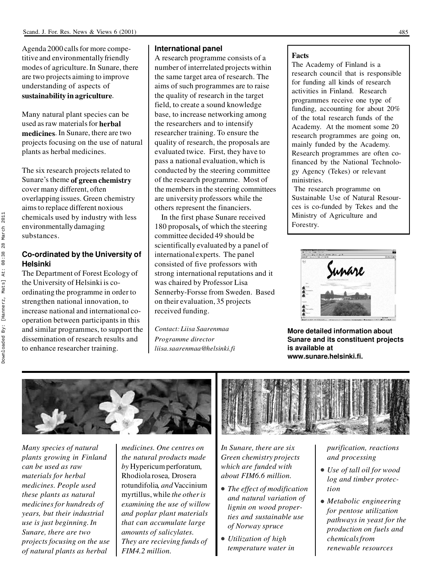Agenda 2000 calls for more competitive and environmentally friendly modes of agriculture. In Sunare, there are two projects aiming to improve understanding of aspects of **sustainability in agriculture**.

Many natural plant species can be used as raw materials for **herbal medicines**. In Sunare, there are two projects focusing on the use of natural plants as herbal medicines.

The six research projects related to Sunare's theme **of green chemistry** cover many different, often overlapping issues. Green chemistry aims to replace different noxious chemicals used by industry with less environmentally damaging substances.

#### **Co-ordinated by the University of Helsinki**

The Department of Forest Ecology of the University of Helsinki is coordinating the programme in order to strengthen national innovation, to increase national and international cooperation between participants in this and similar programmes, to support the dissemination of research results and to enhance researcher training.

#### **International panel**

A research programme consists of a number of interrelated projects within the same target area of research. The aims of such programmes are to raise the quality of research in the target field, to create a sound knowledge base, to increase networking among the researchers and to intensify researcher training. To ensure the quality of research, the proposals are evaluated twice. First, they have to pass a national evaluation, which is conducted by the steering committee of the research programme. Most of the members in the steering committees are university professors while the others represent the financiers.

In the first phase Sunare received 180 proposals**,** of which the steering committee decided 49 should be scientifically evaluated by a panel of international experts. The panel consisted of five professors with strong international reputations and it was chaired by Professor Lisa Sennerby-Forsse from Sweden. Based on their evaluation, 35 projects received funding.

*Contact: Liisa Saarenmaa Programme director liisa.saarenmaa@helsinki.fi*

#### **Facts**

The Academy of Finland is a research council that is responsible for funding all kinds of research activities in Finland. Research programmes receive one type of funding, accounting for about 20% of the total research funds of the Academy. At the moment some 20 research programmes are going on, mainly funded by the Academy. Research programmes are often cofinanced by the National Technology Agency (Tekes) or relevant ministries.

The research programme on Sustainable Use of Natural Resour ces is co-funded by Tekes and the Ministry of Agriculture and Forestry.



**More detailed information about Sunare and its constituent projects is available at www.sunare.helsinki.fi.**



*Many species of natural plants growing in Finland can be used as raw materials for herbal medicines. People used these plants as natural medicines for hundreds of years, but their industrial use is just beginning. In Sunare, there are two projects focusing on the use of natural plants as herbal*

*medicines. One centres on the natural products made by* Hypericum perforatum*,* Rhodiola rosea*,* Drosera rotundifolia*, and* Vaccinium myrtillus, while *the other is examining the use of willow and poplar plant materials that can accumulate large amounts of salicylates. They are recieving funds of FIM4.2 million.*



*In Sunare, there are six Green chemistry projects which are funded with about FIM6.6 million.*

- **•** *The effect of modification and natural variation of lignin on wood properties and sustainable use of Norway spruce*
- **•** *Utilization of high temperature water in*

*purification, reactions and processing*

- <sup>l</sup> *Use of tall oil for wood log and timber protection*
- **•** *Metabolic engineering for pentose utilization pathways in yeast for the production on fuels and chemicals from renewable resources*